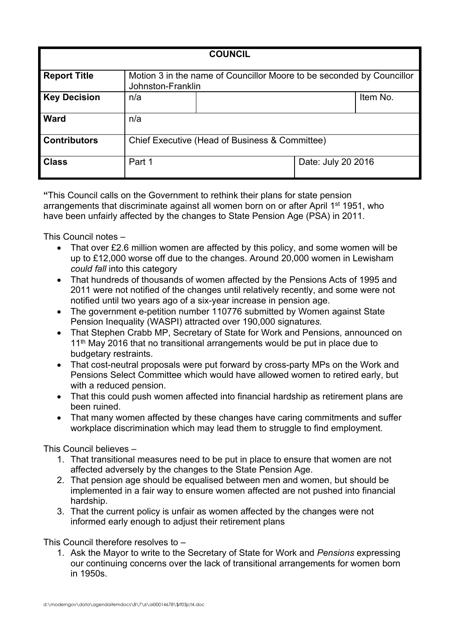| <b>COUNCIL</b>      |                                                                                            |  |                    |          |
|---------------------|--------------------------------------------------------------------------------------------|--|--------------------|----------|
| <b>Report Title</b> | Motion 3 in the name of Councillor Moore to be seconded by Councillor<br>Johnston-Franklin |  |                    |          |
| <b>Key Decision</b> | n/a                                                                                        |  |                    | Item No. |
| <b>Ward</b>         | n/a                                                                                        |  |                    |          |
| <b>Contributors</b> | Chief Executive (Head of Business & Committee)                                             |  |                    |          |
| <b>Class</b>        | Part 1                                                                                     |  | Date: July 20 2016 |          |

**"**This Council calls on the Government to rethink their plans for state pension arrangements that discriminate against all women born on or after April 1<sup>st</sup> 1951, who have been unfairly affected by the changes to State Pension Age (PSA) in 2011.

This Council notes –

- That over £2.6 million women are affected by this policy, and some women will be up to £12,000 worse off due to the changes. Around 20,000 women in Lewisham *could fall* into this category
- That hundreds of thousands of women affected by the Pensions Acts of 1995 and 2011 were not notified of the changes until relatively recently, and some were not notified until two years ago of a six-year increase in pension age.
- The government e-petition number 110776 submitted by Women against State Pension Inequality (WASPI) attracted over 190,000 signature*s.*
- That Stephen Crabb MP, Secretary of State for Work and Pensions, announced on 11<sup>th</sup> May 2016 that no transitional arrangements would be put in place due to budgetary restraints.
- That cost-neutral proposals were put forward by cross-party MPs on the Work and Pensions Select Committee which would have allowed women to retired early, but with a reduced pension.
- That this could push women affected into financial hardship as retirement plans are been ruined.
- That many women affected by these changes have caring commitments and suffer workplace discrimination which may lead them to struggle to find employment.

This Council believes –

- 1. That transitional measures need to be put in place to ensure that women are not affected adversely by the changes to the State Pension Age.
- 2. That pension age should be equalised between men and women, but should be implemented in a fair way to ensure women affected are not pushed into financial hardship.
- 3. That the current policy is unfair as women affected by the changes were not informed early enough to adjust their retirement plans

This Council therefore resolves to –

1. Ask the Mayor to write to the Secretary of State for Work and *Pensions* expressing our continuing concerns over the lack of transitional arrangements for women born in 1950s.